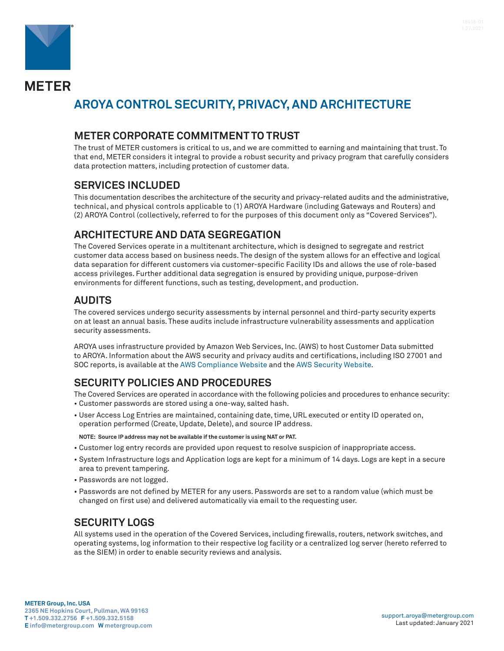

**METER** 

# **AROYA CONTROL SECURITY, PRIVACY, AND ARCHITECTURE**

#### **METER CORPORATE COMMITMENT TO TRUST**

The trust of METER customers is critical to us, and we are committed to earning and maintaining that trust. To that end, METER considers it integral to provide a robust security and privacy program that carefully considers data protection matters, including protection of customer data.

#### **SERVICES INCLUDED**

This documentation describes the architecture of the security and privacy-related audits and the administrative, technical, and physical controls applicable to (1) AROYA Hardware (including Gateways and Routers) and (2) AROYA Control (collectively, referred to for the purposes of this document only as "Covered Services").

## **ARCHITECTURE AND DATA SEGREGATION**

The Covered Services operate in a multitenant architecture, which is designed to segregate and restrict customer data access based on business needs. The design of the system allows for an effective and logical data separation for different customers via customer-specific Facility IDs and allows the use of role-based access privileges. Further additional data segregation is ensured by providing unique, purpose-driven environments for different functions, such as testing, development, and production.

## **AUDITS**

The covered services undergo security assessments by internal personnel and third-party security experts on at least an annual basis. These audits include infrastructure vulnerability assessments and application security assessments.

AROYA uses infrastructure provided by Amazon Web Services, Inc. (AWS) to host Customer Data submitted to AROYA. Information about the AWS security and privacy audits and certifications, including ISO 27001 and SOC reports, is available at the [AWS Compliance Website](https://aws.amazon.com/compliance/) and the [AWS Security Website](https://aws.amazon.com/security/).

# **SECURITY POLICIES AND PROCEDURES**

The Covered Services are operated in accordance with the following policies and procedures to enhance security: • Customer passwords are stored using a one-way, salted hash.

• User Access Log Entries are maintained, containing date, time, URL executed or entity ID operated on, operation performed (Create, Update, Delete), and source IP address.

**NOTE: Source IP address may not be available if the customer is using NAT or PAT.**

- Customer log entry records are provided upon request to resolve suspicion of inappropriate access.
- System Infrastructure logs and Application logs are kept for a minimum of 14 days. Logs are kept in a secure area to prevent tampering.
- Passwords are not logged.
- Passwords are not defined by METER for any users. Passwords are set to a random value (which must be changed on first use) and delivered automatically via email to the requesting user.

## **SECURITY LOGS**

All systems used in the operation of the Covered Services, including firewalls, routers, network switches, and operating systems, log information to their respective log facility or a centralized log server (hereto referred to as the SIEM) in order to enable security reviews and analysis.